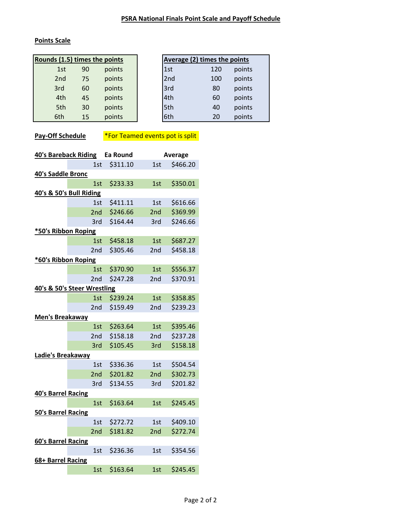## **Points Scale**

| Rounds (1.5) times the points |    |        |     | <b>Average (2) times the points</b> |       |
|-------------------------------|----|--------|-----|-------------------------------------|-------|
| 1st                           | 90 | points | 1st | 120                                 | point |
| 2nd                           | 75 | points | 2nd | 100                                 | point |
| 3rd                           | 60 | points | 3rd | 80                                  | point |
| 4th                           | 45 | points | 4th | 60                                  | point |
| 5th                           | 30 | points | 5th | 40                                  | point |
| 6th                           | 15 | points | 6th | 20                                  | point |

| s (1.5) times the points |    | <b>Average (2) times the points</b> |                 |     |        |  |
|--------------------------|----|-------------------------------------|-----------------|-----|--------|--|
| 1st                      | 90 | points                              | 1st             | 120 | points |  |
| 2nd                      | 75 | points                              | 2 <sub>nd</sub> | 100 | points |  |
| 3rd                      | 60 | points                              | 3rd             | 80  | points |  |
| 4th                      | 45 | points                              | 4th             | 60  | points |  |
| 5th                      | 30 | points                              | 5th             | 40  | points |  |
| 6th                      | 15 | points                              | 6th             | 20  | points |  |

**Pay-Off Schedule** <sup>\*</sup>For Teamed events pot is split

| <b>40's Bareback Riding</b> |                         | <b>Ea Round</b> |                 | Average  |  |  |
|-----------------------------|-------------------------|-----------------|-----------------|----------|--|--|
|                             | 1st                     | \$311.10        | 1st             | \$466.20 |  |  |
| 40's Saddle Bronc           |                         |                 |                 |          |  |  |
|                             | 1st                     | \$233.33        | 1st             | \$350.01 |  |  |
|                             | 40's & 50's Bull Riding |                 |                 |          |  |  |
|                             | 1st                     | \$411.11        | 1st             | \$616.66 |  |  |
|                             | 2nd                     | \$246.66        | 2nd             | \$369.99 |  |  |
|                             | 3rd                     | \$164.44        | 3rd             | \$246.66 |  |  |
| *50's Ribbon Roping         |                         |                 |                 |          |  |  |
|                             | 1st                     | \$458.18        | 1st             | \$687.27 |  |  |
|                             | 2nd                     | \$305.46        | 2nd             | \$458.18 |  |  |
| *60's Ribbon Roping         |                         |                 |                 |          |  |  |
|                             | 1st                     | \$370.90        | 1st             | \$556.37 |  |  |
|                             | 2nd                     | \$247.28        | 2nd             | \$370.91 |  |  |
| 40's & 50's Steer Wrestling |                         |                 |                 |          |  |  |
|                             | 1st                     | \$239.24        | 1st             | \$358.85 |  |  |
|                             | 2nd                     | \$159.49        | 2nd             | \$239.23 |  |  |
| <b>Men's Breakaway</b>      |                         |                 |                 |          |  |  |
|                             | 1st                     | \$263.64        | 1st             | \$395.46 |  |  |
|                             | 2nd                     | \$158.18        | 2 <sub>nd</sub> | \$237.28 |  |  |
|                             | 3rd                     | \$105.45        | 3rd             | \$158.18 |  |  |
| Ladie's Breakaway           |                         |                 |                 |          |  |  |
|                             | 1st                     | \$336.36        | 1st             | \$504.54 |  |  |
|                             | 2nd                     | \$201.82        | 2nd             | \$302.73 |  |  |
|                             | 3rd                     | \$134.55        | 3rd             | \$201.82 |  |  |
| <b>40's Barrel Racing</b>   |                         |                 |                 |          |  |  |
|                             | 1st                     | \$163.64        | 1st             | \$245.45 |  |  |
| <b>50's Barrel Racing</b>   |                         |                 |                 |          |  |  |
|                             | 1st                     | \$272.72        | 1st             | \$409.10 |  |  |
|                             | 2nd                     | \$181.82        | 2nd             | \$272.74 |  |  |
| 60's Barrel Racing          |                         |                 |                 |          |  |  |
|                             | 1st                     | \$236.36        | 1st             | \$354.56 |  |  |
| 68+ Barrel Racing           |                         |                 |                 |          |  |  |
|                             | 1st                     | \$163.64        | 1st             | \$245.45 |  |  |